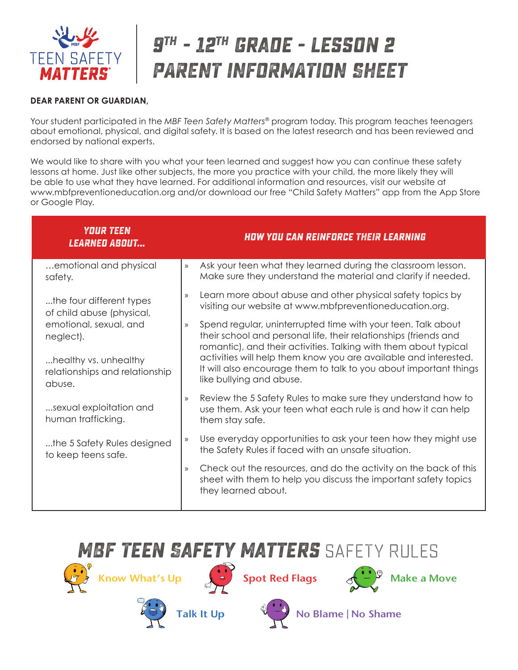

# **9th - 12th Grade - lesson 2 PARENT INFORMATION SHEEt**

#### **DEAR PARENT OR GUARDIAN,**

Your student participated in the *MBF Teen Safety Matters®* program today. This program teaches teenagers about emotional, physical, and digital safety. It is based on the latest research and has been reviewed and endorsed by national experts.

We would like to share with you what your teen learned and suggest how you can continue these safety lessons at home. Just like other subjects, the more you practice with your child, the more likely they will be able to use what they have learned. For additional information and resources, visit our website at www.mbfpreventioneducation.org and/or download our free "Child Safety Matters" app from the App Store or Google Play.

| <b>YOUR TEEN</b><br><b>LEARNED ABOUT</b>                          | <b>HOW YOU CAN REINFORCE THEIR LEARNING</b>                                                                                                                                                                           |
|-------------------------------------------------------------------|-----------------------------------------------------------------------------------------------------------------------------------------------------------------------------------------------------------------------|
| emotional and physical<br>safety.                                 | Ask your teen what they learned during the classroom lesson.<br>$\mathcal{Y}$<br>Make sure they understand the material and clarify if needed.                                                                        |
| the four different types<br>of child abuse (physical,             | Learn more about abuse and other physical safety topics by<br>$\mathcal{Y}$<br>visiting our website at www.mbfpreventioneducation.org.                                                                                |
| emotional, sexual, and<br>neglect).                               | Spend regular, uninterrupted time with your teen. Talk about<br>$\mathcal{Y}$<br>their school and personal life, their relationships (friends and<br>romantic), and their activities. Talking with them about typical |
| healthy vs. unhealthy<br>relationships and relationship<br>abuse. | activities will help them know you are available and interested.<br>It will also encourage them to talk to you about important things<br>like bullying and abuse.                                                     |
| sexual exploitation and<br>human trafficking.                     | Review the 5 Safety Rules to make sure they understand how to<br>$\rangle$<br>use them. Ask your teen what each rule is and how it can help<br>them stay safe.                                                        |
| the 5 Safety Rules designed<br>to keep teens safe.                | Use everyday opportunities to ask your teen how they might use<br>$\mathcal{Y}$<br>the Safety Rules if faced with an unsafe situation.                                                                                |
|                                                                   | Check out the resources, and do the activity on the back of this<br>$\mathcal{Y}$<br>sheet with them to help you discuss the important safety topics<br>they learned about.                                           |